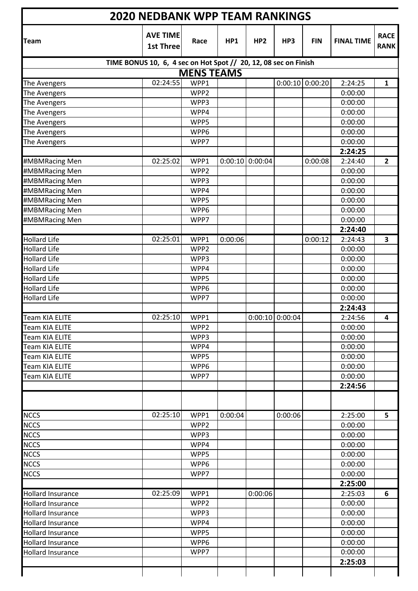| <b>2020 NEDBANK WPP TEAM RANKINGS</b>                           |                              |                   |         |                 |                   |                   |                   |                            |  |  |
|-----------------------------------------------------------------|------------------------------|-------------------|---------|-----------------|-------------------|-------------------|-------------------|----------------------------|--|--|
| <b>Team</b>                                                     | <b>AVE TIME</b><br>1st Three | Race              | HP1     | HP <sub>2</sub> | HP3               | <b>FIN</b>        | <b>FINAL TIME</b> | <b>RACE</b><br><b>RANK</b> |  |  |
| TIME BONUS 10, 6, 4 sec on Hot Spot // 20, 12, 08 sec on Finish |                              |                   |         |                 |                   |                   |                   |                            |  |  |
|                                                                 |                              | <b>MENS TEAMS</b> |         |                 |                   |                   |                   |                            |  |  |
| The Avengers                                                    | 02:24:55                     | WPP1              |         |                 |                   | $0:00:10$ 0:00:20 | 2:24:25           | $\mathbf{1}$               |  |  |
| The Avengers                                                    |                              | WPP <sub>2</sub>  |         |                 |                   |                   | 0:00:00           |                            |  |  |
| The Avengers                                                    |                              | WPP3              |         |                 |                   |                   | 0:00:00           |                            |  |  |
| The Avengers                                                    |                              | WPP4              |         |                 |                   |                   | 0:00:00           |                            |  |  |
| The Avengers                                                    |                              | WPP5              |         |                 |                   |                   | 0:00:00           |                            |  |  |
| The Avengers                                                    |                              | WPP6              |         |                 |                   |                   | 0:00:00           |                            |  |  |
| The Avengers                                                    |                              | WPP7              |         |                 |                   |                   | 0:00:00           |                            |  |  |
|                                                                 |                              |                   |         |                 |                   |                   | 2:24:25           |                            |  |  |
| #MBMRacing Men                                                  | 02:25:02                     | WPP1              | 0:00:10 | 0:00:04         |                   | 0:00:08           | 2:24:40           | $\overline{2}$             |  |  |
| #MBMRacing Men                                                  |                              | WPP2              |         |                 |                   |                   | 0:00:00           |                            |  |  |
| #MBMRacing Men                                                  |                              | WPP3              |         |                 |                   |                   | 0:00:00           |                            |  |  |
| #MBMRacing Men                                                  |                              | WPP4              |         |                 |                   |                   | 0:00:00           |                            |  |  |
| #MBMRacing Men                                                  |                              | WPP5              |         |                 |                   |                   | 0:00:00           |                            |  |  |
| #MBMRacing Men                                                  |                              | WPP6              |         |                 |                   |                   | 0:00:00           |                            |  |  |
| #MBMRacing Men                                                  |                              | WPP7              |         |                 |                   |                   | 0:00:00           |                            |  |  |
|                                                                 |                              |                   |         |                 |                   |                   | 2:24:40           |                            |  |  |
| <b>Hollard Life</b>                                             | 02:25:01                     | WPP1              | 0:00:06 |                 |                   | 0:00:12           | 2:24:43           | 3                          |  |  |
| <b>Hollard Life</b>                                             |                              | WPP2              |         |                 |                   |                   | 0:00:00           |                            |  |  |
| <b>Hollard Life</b>                                             |                              | WPP3              |         |                 |                   |                   | 0:00:00           |                            |  |  |
| <b>Hollard Life</b>                                             |                              | WPP4              |         |                 |                   |                   | 0:00:00           |                            |  |  |
| <b>Hollard Life</b>                                             |                              | WPP5              |         |                 |                   |                   | 0:00:00           |                            |  |  |
| <b>Hollard Life</b>                                             |                              | WPP6              |         |                 |                   |                   | 0:00:00           |                            |  |  |
| <b>Hollard Life</b>                                             |                              | WPP7              |         |                 |                   |                   | 0:00:00           |                            |  |  |
|                                                                 |                              |                   |         |                 |                   |                   | 2:24:43           |                            |  |  |
| <b>Team KIA ELITE</b>                                           | 02:25:10                     | WPP1              |         |                 | $0:00:10$ 0:00:04 |                   | 2:24:56           | 4                          |  |  |
| <b>Team KIA ELITE</b>                                           |                              | WPP2              |         |                 |                   |                   | 0:00:00           |                            |  |  |
| Team KIA ELITE                                                  |                              | WPP3              |         |                 |                   |                   | 0:00:00           |                            |  |  |
| <b>Team KIA ELITE</b>                                           |                              | WPP4              |         |                 |                   |                   | 0:00:00           |                            |  |  |
| <b>Team KIA ELITE</b>                                           |                              | WPP5              |         |                 |                   |                   | 0:00:00           |                            |  |  |
| Team KIA ELITE                                                  |                              | WPP6              |         |                 |                   |                   | 0:00:00           |                            |  |  |
| Team KIA ELITE                                                  |                              | WPP7              |         |                 |                   |                   | 0:00:00           |                            |  |  |
|                                                                 |                              |                   |         |                 |                   |                   | 2:24:56           |                            |  |  |
|                                                                 |                              |                   |         |                 |                   |                   |                   |                            |  |  |
| <b>NCCS</b>                                                     | 02:25:10                     | WPP1              | 0:00:04 |                 | 0:00:06           |                   | 2:25:00           | 5                          |  |  |
| <b>NCCS</b>                                                     |                              | WPP2              |         |                 |                   |                   | 0:00:00           |                            |  |  |
| <b>NCCS</b>                                                     |                              | WPP3              |         |                 |                   |                   | 0:00:00           |                            |  |  |
| <b>NCCS</b>                                                     |                              | WPP4              |         |                 |                   |                   | 0:00:00           |                            |  |  |
| <b>NCCS</b>                                                     |                              | WPP5              |         |                 |                   |                   | 0:00:00           |                            |  |  |
| <b>NCCS</b>                                                     |                              | WPP6              |         |                 |                   |                   | 0:00:00           |                            |  |  |
| <b>NCCS</b>                                                     |                              | WPP7              |         |                 |                   |                   | 0:00:00           |                            |  |  |
|                                                                 |                              |                   |         |                 |                   |                   | 2:25:00           |                            |  |  |
| <b>Hollard Insurance</b>                                        | 02:25:09                     | WPP1              |         | 0:00:06         |                   |                   | 2:25:03           | 6                          |  |  |
| <b>Hollard Insurance</b>                                        |                              | WPP2              |         |                 |                   |                   | 0:00:00           |                            |  |  |
| <b>Hollard Insurance</b>                                        |                              | WPP3              |         |                 |                   |                   | 0:00:00           |                            |  |  |
| <b>Hollard Insurance</b>                                        |                              | WPP4              |         |                 |                   |                   | 0:00:00           |                            |  |  |
| <b>Hollard Insurance</b>                                        |                              | WPP5              |         |                 |                   |                   | 0:00:00           |                            |  |  |
| <b>Hollard Insurance</b>                                        |                              | WPP6              |         |                 |                   |                   | 0:00:00           |                            |  |  |
| <b>Hollard Insurance</b>                                        |                              | WPP7              |         |                 |                   |                   | 0:00:00           |                            |  |  |
|                                                                 |                              |                   |         |                 |                   |                   | 2:25:03           |                            |  |  |
|                                                                 |                              |                   |         |                 |                   |                   |                   |                            |  |  |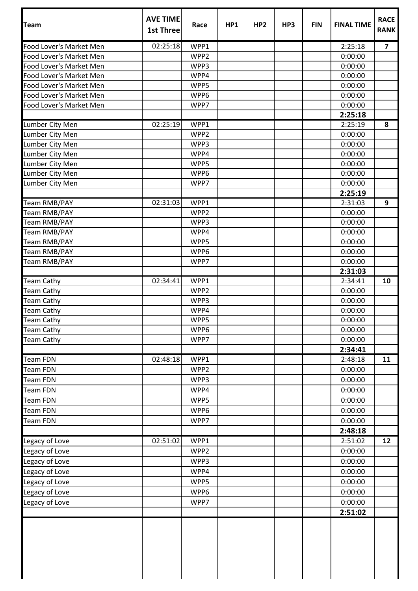| <b>Team</b>             | <b>AVE TIME</b><br><b>1st Three</b> | Race             | HP1 | HP <sub>2</sub> | HP3 | <b>FIN</b> | <b>FINAL TIME</b>  | <b>RACE</b><br><b>RANK</b> |
|-------------------------|-------------------------------------|------------------|-----|-----------------|-----|------------|--------------------|----------------------------|
| Food Lover's Market Men | 02:25:18                            | WPP1             |     |                 |     |            | 2:25:18            | $\overline{\mathbf{z}}$    |
| Food Lover's Market Men |                                     | WPP2             |     |                 |     |            | 0:00:00            |                            |
| Food Lover's Market Men |                                     | WPP3             |     |                 |     |            | 0:00:00            |                            |
| Food Lover's Market Men |                                     | WPP4             |     |                 |     |            | 0:00:00            |                            |
| Food Lover's Market Men |                                     | WPP5             |     |                 |     |            | 0:00:00            |                            |
| Food Lover's Market Men |                                     | WPP6             |     |                 |     |            | 0:00:00            |                            |
| Food Lover's Market Men |                                     | WPP7             |     |                 |     |            | 0:00:00<br>2:25:18 |                            |
| Lumber City Men         | 02:25:19                            | WPP1             |     |                 |     |            | 2:25:19            | 8                          |
| Lumber City Men         |                                     | WPP2             |     |                 |     |            | 0:00:00            |                            |
| Lumber City Men         |                                     | WPP3             |     |                 |     |            | 0:00:00            |                            |
| Lumber City Men         |                                     | WPP4             |     |                 |     |            | 0:00:00            |                            |
| Lumber City Men         |                                     | WPP5             |     |                 |     |            | 0:00:00            |                            |
| Lumber City Men         |                                     | WPP6             |     |                 |     |            | 0:00:00            |                            |
| Lumber City Men         |                                     | WPP7             |     |                 |     |            | 0:00:00            |                            |
|                         |                                     |                  |     |                 |     |            | 2:25:19            |                            |
| Team RMB/PAY            | 02:31:03                            | WPP1             |     |                 |     |            | 2:31:03            | 9                          |
| <b>Team RMB/PAY</b>     |                                     | WPP2             |     |                 |     |            | 0:00:00            |                            |
| Team RMB/PAY            |                                     | WPP3             |     |                 |     |            | 0:00:00            |                            |
| Team RMB/PAY            |                                     | WPP4             |     |                 |     |            | 0:00:00            |                            |
| Team RMB/PAY            |                                     | WPP5             |     |                 |     |            | 0:00:00            |                            |
| Team RMB/PAY            |                                     | WPP6             |     |                 |     |            | 0:00:00            |                            |
| Team RMB/PAY            |                                     | WPP7             |     |                 |     |            | 0:00:00            |                            |
|                         |                                     |                  |     |                 |     |            | 2:31:03            |                            |
| <b>Team Cathy</b>       | 02:34:41                            | WPP1             |     |                 |     |            | 2:34:41            | 10                         |
| <b>Team Cathy</b>       |                                     | WPP2             |     |                 |     |            | 0:00:00            |                            |
| <b>Team Cathy</b>       |                                     | WPP3             |     |                 |     |            | 0:00:00            |                            |
| <b>Team Cathy</b>       |                                     | WPP4             |     |                 |     |            | 0:00:00            |                            |
| <b>Team Cathy</b>       |                                     | WPP5             |     |                 |     |            | 0:00:00            |                            |
| <b>Team Cathy</b>       |                                     | WPP6             |     |                 |     |            | 0:00:00            |                            |
| <b>Team Cathy</b>       |                                     | WPP7             |     |                 |     |            | 0:00:00            |                            |
|                         |                                     |                  |     |                 |     |            | 2:34:41            |                            |
| <b>Team FDN</b>         | 02:48:18                            | WPP1             |     |                 |     |            | 2:48:18            | 11                         |
| <b>Team FDN</b>         |                                     | WPP <sub>2</sub> |     |                 |     |            | 0:00:00            |                            |
| <b>Team FDN</b>         |                                     | WPP3             |     |                 |     |            | 0:00:00            |                            |
| <b>Team FDN</b>         |                                     | WPP4             |     |                 |     |            | 0:00:00            |                            |
| <b>Team FDN</b>         |                                     | WPP5             |     |                 |     |            | 0:00:00            |                            |
| <b>Team FDN</b>         |                                     | WPP6             |     |                 |     |            | 0:00:00            |                            |
| <b>Team FDN</b>         |                                     | WPP7             |     |                 |     |            | 0:00:00            |                            |
|                         |                                     |                  |     |                 |     |            | 2:48:18            |                            |
| Legacy of Love          | 02:51:02                            | WPP1             |     |                 |     |            | 2:51:02            | 12                         |
| Legacy of Love          |                                     | WPP2             |     |                 |     |            | 0:00:00            |                            |
| Legacy of Love          |                                     | WPP3             |     |                 |     |            | 0:00:00            |                            |
| Legacy of Love          |                                     | WPP4             |     |                 |     |            | 0:00:00            |                            |
| Legacy of Love          |                                     | WPP5             |     |                 |     |            | 0:00:00            |                            |
| Legacy of Love          |                                     | WPP6             |     |                 |     |            | 0:00:00            |                            |
| Legacy of Love          |                                     | WPP7             |     |                 |     |            | 0:00:00            |                            |
|                         |                                     |                  |     |                 |     |            | 2:51:02            |                            |
|                         |                                     |                  |     |                 |     |            |                    |                            |

┱